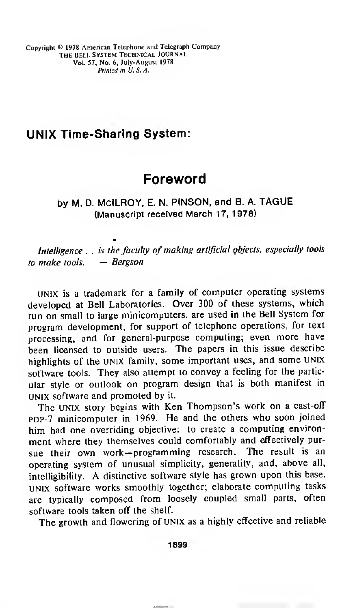Copyright © <sup>1978</sup> American Telephone and Telegraph Company The bell System Technical journal Vol. 57, No. 6, July-August 1978 Printed in U.S.A.

# UNIX Time-Sharing System:

# Foreword

by M. D. MclLROY, E. N. PINSON, and B. A. TAGUE (Manuscript received March 17, 1978)

Intelligence ... is the faculty of making artificial objects, especially tools to make tools.  $-$  Bergson

UNIX is <sup>a</sup> trademark for <sup>a</sup> family of computer operating systems developed at Bell Laboratories. Over 300 of these systems, which run on small to large minicomputers, are used in the Bell System for program development, for support of telephone operations, for text processing, and for general-purpose computing; even more have been licensed to outside users. The papers in this issue describe highlights of the UNIX family, some important uses, and some UNIX software tools. They also attempt to convey <sup>a</sup> feeling for the particular style or outlook on program design that is both manifest in UNIX software and promoted by it.

The UNIX story begins with Ken Thompson's work on <sup>a</sup> cast-off PDP-7 minicomputer in 1969. He and the others who soon joined him had one overriding objective: to create <sup>a</sup> computing environment where they themselves could comfortably and effectively pursue their own work —programming research. The result is an operating system of unusual simplicity, generality, and, above all, intelligibility. A distinctive software style has grown upon this base. UNIX software works smoothly together; elaborate computing tasks are typically composed from loosely coupled small parts, often software tools taken off the shelf.

The growth and flowering of UNIX as <sup>a</sup> highly effective and reliable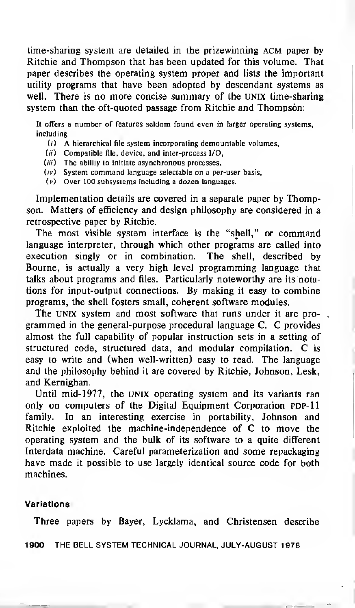time-sharing system are detailed in the prizewinning ACM paper by Ritchie and Thompson that has been updated for this volume. That paper describes the operating system proper and lists the important utility programs that have been adopted by descendant systems as well. There is no more concise summary of the UNIX time-sharing system than the oft-quoted passage from Ritchie and Thompson:

It offers a number of features seldom found even in larger operating systems, including

- $(i)$  A hierarchical file system incorporating demountable volumes,
- (ii) Compatible file, device, and inter-process l/O,
- $(iii)$  The ability to initiate asynchronous processes,
- $(iv)$  System command language selectable on a per-user basis,
- (v) Over 100 subsystems including a dozen languages.

Implementation details are covered in a separate paper by Thompson. Matters of efficiency and design philosophy are considered in a retrospective paper by Ritchie.

The most visible system interface is the "shell," or command language interpreter, through which other programs are called into execution singly or in combination. The shell, described by Bourne, is actually a very high level programming language that talks about programs and files. Particularly noteworthy are its notations for input-output connections. By making it easy to combine programs, the shell fosters small, coherent software modules.

The UNIX system and most software that runs under it are programmed in the general-purpose procedural language C. C provides almost the full capability of popular instruction sets in a setting of structured code, structured data, and modular compilation. C is easy to write and (when well-written) easy to read. The language and the philosophy behind it are covered by Ritchie, Johnson, Lesk, and Kernighan.

Until mid-1977, the UNIX operating system and its variants ran only on computers of the Digital Equipment Corporation PDP-11 family. In an interesting exercise in portability, Johnson and Ritchie exploited the machine-independence of C to move the operating system and the bulk of its software to a quite different Interdata machine. Careful parameterization and some repackaging have made it possible to use largely identical source code for both machines.

## Variations

Three papers by Bayer, Lycklama, and Christensen describe

1900 THE BELL SYSTEM TECHNICAL JOURNAL, JULY-AUGUST <sup>1</sup>978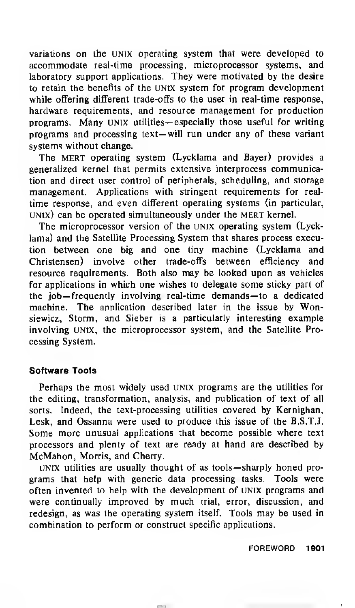variations on the UNIX operating system that were developed to accommodate real-time processing, microprocessor systems, and laboratory support applications. They were motivated by the desire to retain the benefits of the unix system for program development while offering different trade-offs to the user in real-time response, hardware requirements, and resource management for production programs. Many UNIX utilities— especially those useful for writing programs and processing text— will run under any of these variant systems without change.

The MERT operating system (Lycklama and Bayer) provides a generalized kernel that permits extensive interprocess communication and direct user control of peripherals, scheduling, and storage management. Applications with stringent requirements for realtime response, and even different operating systems (in particular,  $UNIX)$  can be operated simultaneously under the MERT kernel.

The microprocessor version of the UNIX operating system (Lycklama) and the Satellite Processing System that shares process execution between one big and one tiny machine (Lycklama and Christensen) involve other trade-offs between efficiency and resource requirements. Both also may be looked upon as vehicles for applications in which one wishes to delegate some sticky part of the job— frequently involving real-time demands— to <sup>a</sup> dedicated machine. The application described later in the issue by Wonsiewicz, Storm, and Sieber is a particularly interesting example involving UNtX, the microprocessor system, and the Satellite Processing System.

## Software Tools

Perhaps the most widely used UNIX programs are the utilities for the editing, transformation, analysis, and publication of text of all sorts. Indeed, the text-processing utilities covered by Kernighan, Lesk, and Ossanna were used to produce this issue of the B.S.T.J. Some more unusual applications that become possible where text processors and plenty of text are ready at hand are described by McMahon, Morris, and Cherry.

UNIX utilities are usually thought of as tools— sharply honed programs that help with generic data processing tasks. Tools were often invented to help with the development of UNIX programs and were continually improved by much trial, error, discussion, and redesign, as was the operating system itself. Tools may be used in combination to perform or construct specific applications.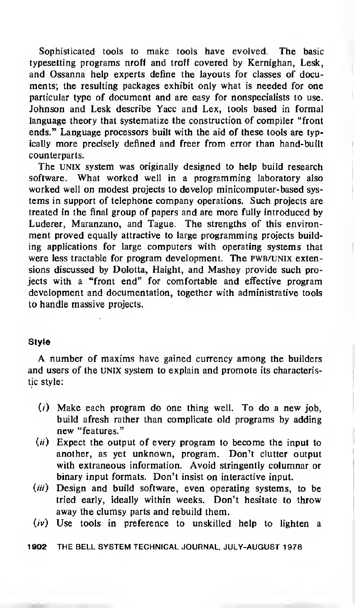Sophisticated tools to make tools have evolved. The basic typesetting programs nroff and troff covered by Kernighan, Lesk, and Ossanna help experts define the layouts for classes of documents; the resulting packages exhibit only what is needed for one particular type of document and are easy for nonspecialists to use. Johnson and Lesk describe Yacc and Lex, tools based in formal language theory that systematize the construction of compiler "front ends." Language processors built with the aid of these tools are typically more precisely defined and freer from error than hand-built counterparts.

The UNIX system was originally designed to help build research software. What worked well in a programming laboratory also worked well on modest projects to develop minicomputer-based systems in support of telephone company operations. Such projects are treated in the final group of papers and are more fully introduced by Luderer, Maranzano, and Tague. The strengths of this environment proved equally attractive to large programming projects building applications for large computers with operating systems that were less tractable for program development. The PWB/UNIX extensions discussed by Dolotta, Haight, and Mashey provide such projects with a "front end" for comfortable and effective program development and documentation, together with administrative tools to handle massive projects.

## Style

A number of maxims have gained currency among the builders and users of the UNIX system to explain and promote its characteristic style:

- $(i)$  Make each program do one thing well. To do a new job, build afresh rather than complicate old programs by adding new "features."
- $(ii)$  Expect the output of every program to become the input to another, as yet unknown, program. Don't clutter output with extraneous information. Avoid stringently columnar or binary input formats. Don't insist on interactive input.
- $(iii)$  Design and build software, even operating systems, to be tried early, ideally within weeks. Don't hesitate to throw away the clumsy parts and rebuild them.
- $(iv)$  Use tools in preference to unskilled help to lighten a

1902 THE BELL SYSTEM TECHNICAL JOURNAL, JULY-AUGUST 1978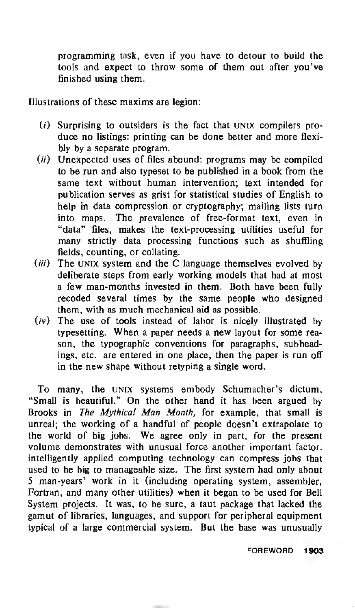programming task, even if you have to detour to build the tools and expect to throw some of them out after you've finished using them.

Illustrations of these maxims are legion:

- (/) Surprising to outsiders is the fact that UNIX compilers produce no listings: printing can be done better and more flexibly by a separate program.
- $(ii)$  Unexpected uses of files abound: programs may be compiled to be run and also typeset to be published in a book from the same text without human intervention; text intended for publication serves as grist for statistical studies of English to help in data compression or cryptography; mailing lists turn into maps. The prevalence of free-format text, even in "data" files, makes the text-processing utilities useful for many strictly data processing functions such as shuffling fields, counting, or collating.
- $(iii)$  The UNIX system and the C language themselves evolved by deliberate steps from early working models that had at most a few man-months invested in them. Both have been fully recoded several times by the same people who designed them, with as much mechanical aid as possible.
- $(iv)$  The use of tools instead of labor is nicely illustrated by typesetting. When <sup>a</sup> paper needs <sup>a</sup> new layout for some reason, the typographic conventions for paragraphs, subheadings, etc. are entered in one place, then the paper is run off in the new shape without retyping a single word.

To many, the UNIX systems embody Schumacher's dictum, "Small is beautiful." On the other hand it has been argued by Brooks in The Mythical Man Month, for example, that small is unreal; the working of a handful of people doesn't extrapolate to the world of big jobs. We agree only in part, for the present volume demonstrates with unusual force another important factor: intelligently applied computing technology can compress jobs that used to be big to manageable size. The first system had only about 5 man-years' work in it (including operating system, assembler, Fortran, and many other utilities) when it began to be used for Bell System projects. It was, to be sure, a taut package that lacked the gamut of libraries, languages, and support for peripheral equipment typical of a large commercial system. But the base was unusually